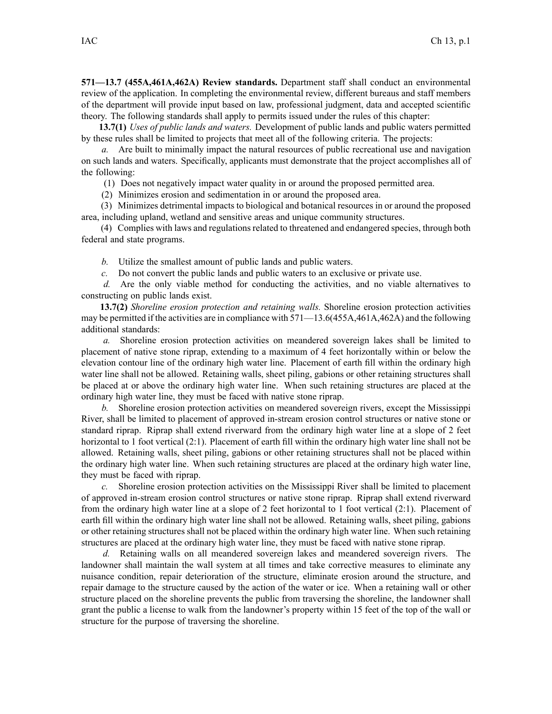**571—13.7 (455A,461A,462A) Review standards.** Department staff shall conduct an environmental review of the application. In completing the environmental review, different bureaus and staff members of the department will provide input based on law, professional judgment, data and accepted scientific theory. The following standards shall apply to permits issued under the rules of this chapter:

**13.7(1)** *Uses of public lands and waters.* Development of public lands and public waters permitted by these rules shall be limited to projects that meet all of the following criteria. The projects:

*a.* Are built to minimally impact the natural resources of public recreational use and navigation on such lands and waters. Specifically, applicants must demonstrate that the project accomplishes all of the following:

(1) Does not negatively impact water quality in or around the proposed permitted area.

(2) Minimizes erosion and sedimentation in or around the proposed area.

(3) Minimizes detrimental impacts to biological and botanical resources in or around the proposed area, including upland, wetland and sensitive areas and unique community structures.

(4) Complies with laws and regulations related to threatened and endangered species, through both federal and state programs.

*b.* Utilize the smallest amount of public lands and public waters.

*c.* Do not convert the public lands and public waters to an exclusive or private use.

*d.* Are the only viable method for conducting the activities, and no viable alternatives to constructing on public lands exist.

**13.7(2)** *Shoreline erosion protection and retaining walls.* Shoreline erosion protection activities may be permitted if the activities are in compliance with 571—13.6(455A,461A,462A) and the following additional standards:

*a.* Shoreline erosion protection activities on meandered sovereign lakes shall be limited to placement of native stone riprap, extending to <sup>a</sup> maximum of 4 feet horizontally within or below the elevation contour line of the ordinary high water line. Placement of earth fill within the ordinary high water line shall not be allowed. Retaining walls, sheet piling, gabions or other retaining structures shall be placed at or above the ordinary high water line. When such retaining structures are placed at the ordinary high water line, they must be faced with native stone riprap.

*b.* Shoreline erosion protection activities on meandered sovereign rivers, excep<sup>t</sup> the Mississippi River, shall be limited to placement of approved in-stream erosion control structures or native stone or standard riprap. Riprap shall extend riverward from the ordinary high water line at <sup>a</sup> slope of 2 feet horizontal to 1 foot vertical (2:1). Placement of earth fill within the ordinary high water line shall not be allowed. Retaining walls, sheet piling, gabions or other retaining structures shall not be placed within the ordinary high water line. When such retaining structures are placed at the ordinary high water line, they must be faced with riprap.

*c.* Shoreline erosion protection activities on the Mississippi River shall be limited to placement of approved in-stream erosion control structures or native stone riprap. Riprap shall extend riverward from the ordinary high water line at <sup>a</sup> slope of 2 feet horizontal to 1 foot vertical (2:1). Placement of earth fill within the ordinary high water line shall not be allowed. Retaining walls, sheet piling, gabions or other retaining structures shall not be placed within the ordinary high water line. When such retaining structures are placed at the ordinary high water line, they must be faced with native stone riprap.

*d.* Retaining walls on all meandered sovereign lakes and meandered sovereign rivers. The landowner shall maintain the wall system at all times and take corrective measures to eliminate any nuisance condition, repair deterioration of the structure, eliminate erosion around the structure, and repair damage to the structure caused by the action of the water or ice. When <sup>a</sup> retaining wall or other structure placed on the shoreline prevents the public from traversing the shoreline, the landowner shall gran<sup>t</sup> the public <sup>a</sup> license to walk from the landowner's property within 15 feet of the top of the wall or structure for the purpose of traversing the shoreline.